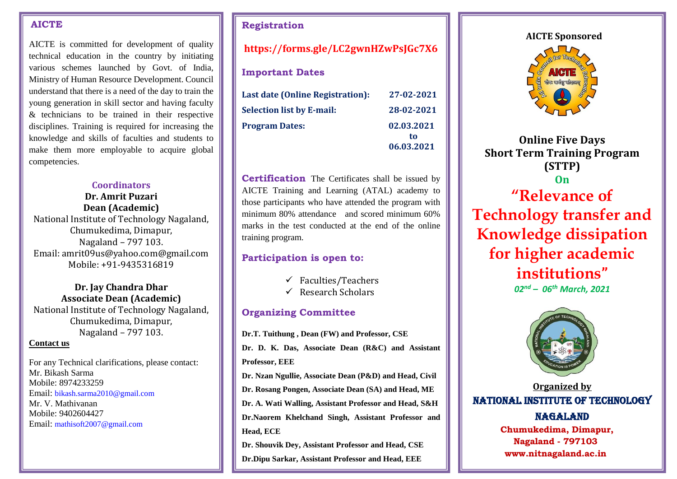#### **AICTE**

AICTE is committed for development of quality technical education in the country by initiating various schemes launched by Govt. of India, Ministry of Human Resource Development. Council understand that there is a need of the day to train the young generation in skill sector and having faculty & technicians to be trained in their respective disciplines. Training is required for increasing the knowledge and skills of faculties and students to make them more employable to acquire global competencies.

### **Coordinators**

**Dr. Amrit Puzari Dean (Academic)** National Institute of Technology Nagaland, Chumukedima, Dimapur, Nagaland – 797 103. Email: amrit09us@yahoo.com@gmail.com Mobile: +91-9435316819

### **Dr. Jay Chandra Dhar Associate Dean (Academic)**

National Institute of Technology Nagaland, Chumukedima, Dimapur, Nagaland – 797 103.

#### **Contact us**

For any Technical clarifications, please contact: Mr. Bikash Sarma Mobile: 8974233259 Email: bikash.sarma2010@gmail.com Mr. V. Mathivanan Mobile: 9402604427 Email: mathisoft2007@gmail.com

## **Registration**

# **https://forms.gle/LC2gwnHZwPsJGc7X6**

## **Important Dates**

| Last date (Online Registration): | 27-02-2021       |
|----------------------------------|------------------|
| <b>Selection list by E-mail:</b> | 28-02-2021       |
| <b>Program Dates:</b>            | 02.03.2021<br>tο |
|                                  | 06.03.2021       |

**Certification** The Certificates shall be issued by AICTE Training and Learning (ATAL) academy to those participants who have attended the program with minimum 80% attendance and scored minimum 60% marks in the test conducted at the end of the online training program.

## **Participation is open to:**

- $\checkmark$  Faculties/Teachers
- $\checkmark$  Research Scholars

# **Organizing Committee**

**Dr.T. Tuithung , Dean (FW) and Professor, CSE**

**Dr. D. K. Das, Associate Dean (R&C) and Assistant Professor, EEE**

**Dr. Nzan Ngullie, Associate Dean (P&D) and Head, Civil**

**Dr. Rosang Pongen, Associate Dean (SA) and Head, ME**

**Dr. A. Wati Walling, Assistant Professor and Head, S&H Dr.Naorem Khelchand Singh, Assistant Professor and Head, ECE**

**Dr. Shouvik Dey, Assistant Professor and Head, CSE**

**Dr.Dipu Sarkar, Assistant Professor and Head, EEE**

#### **AICTE Sponsored**



**Online Five Days Short Term Training Program (STTP) On "Relevance of Technology transfer and Knowledge dissipation for higher academic institutions"** *02 nd – 06th March, 2021*



**Organized by** NATIONAL INSTITUTE OF TECHNOLOGY NAGALAND **Chumukedima, Dimapur,** 

**Nagaland - 797103 www.nitnagaland.ac.in**